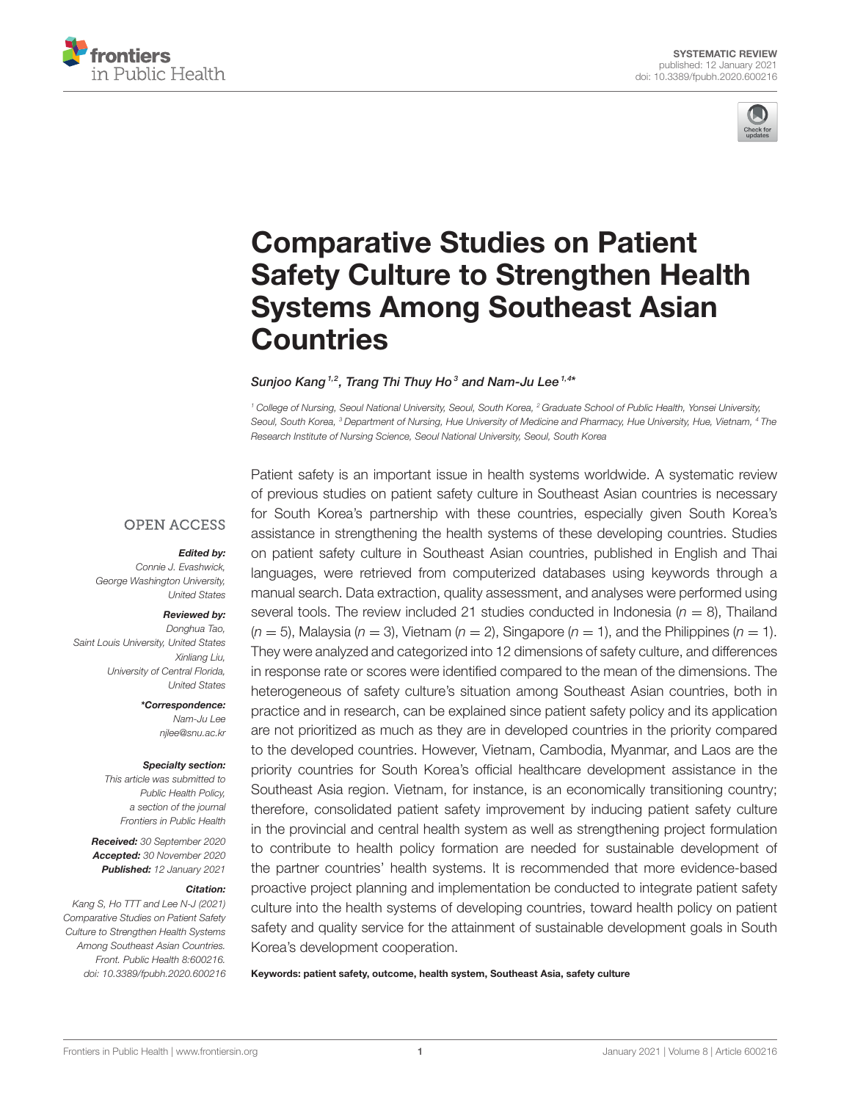



# Comparative Studies on Patient [Safety Culture to Strengthen Health](https://www.frontiersin.org/articles/10.3389/fpubh.2020.600216/full) Systems Among Southeast Asian **Countries**

#### Sunjoo Kang  $^{1,2}$ , Trang Thi Thuy Ho $^3$  and Nam-Ju Lee  $^{1,4*}$

*<sup>1</sup> College of Nursing, Seoul National University, Seoul, South Korea, <sup>2</sup> Graduate School of Public Health, Yonsei University, Seoul, South Korea, <sup>3</sup> Department of Nursing, Hue University of Medicine and Pharmacy, Hue University, Hue, Vietnam, <sup>4</sup> The Research Institute of Nursing Science, Seoul National University, Seoul, South Korea*

#### **OPEN ACCESS**

#### Edited by:

*Connie J. Evashwick, George Washington University, United States*

#### Reviewed by:

*Donghua Tao, Saint Louis University, United States Xinliang Liu, University of Central Florida, United States*

> \*Correspondence: *Nam-Ju Lee [njlee@snu.ac.kr](mailto:njlee@snu.ac.kr)*

#### Specialty section:

*This article was submitted to Public Health Policy, a section of the journal Frontiers in Public Health*

Received: *30 September 2020* Accepted: *30 November 2020* Published: *12 January 2021*

#### Citation:

*Kang S, Ho TTT and Lee N-J (2021) Comparative Studies on Patient Safety Culture to Strengthen Health Systems Among Southeast Asian Countries. Front. Public Health 8:600216. doi: [10.3389/fpubh.2020.600216](https://doi.org/10.3389/fpubh.2020.600216)* Patient safety is an important issue in health systems worldwide. A systematic review of previous studies on patient safety culture in Southeast Asian countries is necessary for South Korea's partnership with these countries, especially given South Korea's assistance in strengthening the health systems of these developing countries. Studies on patient safety culture in Southeast Asian countries, published in English and Thai languages, were retrieved from computerized databases using keywords through a manual search. Data extraction, quality assessment, and analyses were performed using several tools. The review included 21 studies conducted in Indonesia ( $n = 8$ ), Thailand  $(n = 5)$ , Malaysia ( $n = 3$ ), Vietnam ( $n = 2$ ), Singapore ( $n = 1$ ), and the Philippines ( $n = 1$ ). They were analyzed and categorized into 12 dimensions of safety culture, and differences in response rate or scores were identified compared to the mean of the dimensions. The heterogeneous of safety culture's situation among Southeast Asian countries, both in practice and in research, can be explained since patient safety policy and its application are not prioritized as much as they are in developed countries in the priority compared to the developed countries. However, Vietnam, Cambodia, Myanmar, and Laos are the priority countries for South Korea's official healthcare development assistance in the Southeast Asia region. Vietnam, for instance, is an economically transitioning country; therefore, consolidated patient safety improvement by inducing patient safety culture in the provincial and central health system as well as strengthening project formulation to contribute to health policy formation are needed for sustainable development of the partner countries' health systems. It is recommended that more evidence-based proactive project planning and implementation be conducted to integrate patient safety culture into the health systems of developing countries, toward health policy on patient safety and quality service for the attainment of sustainable development goals in South Korea's development cooperation.

Keywords: patient safety, outcome, health system, Southeast Asia, safety culture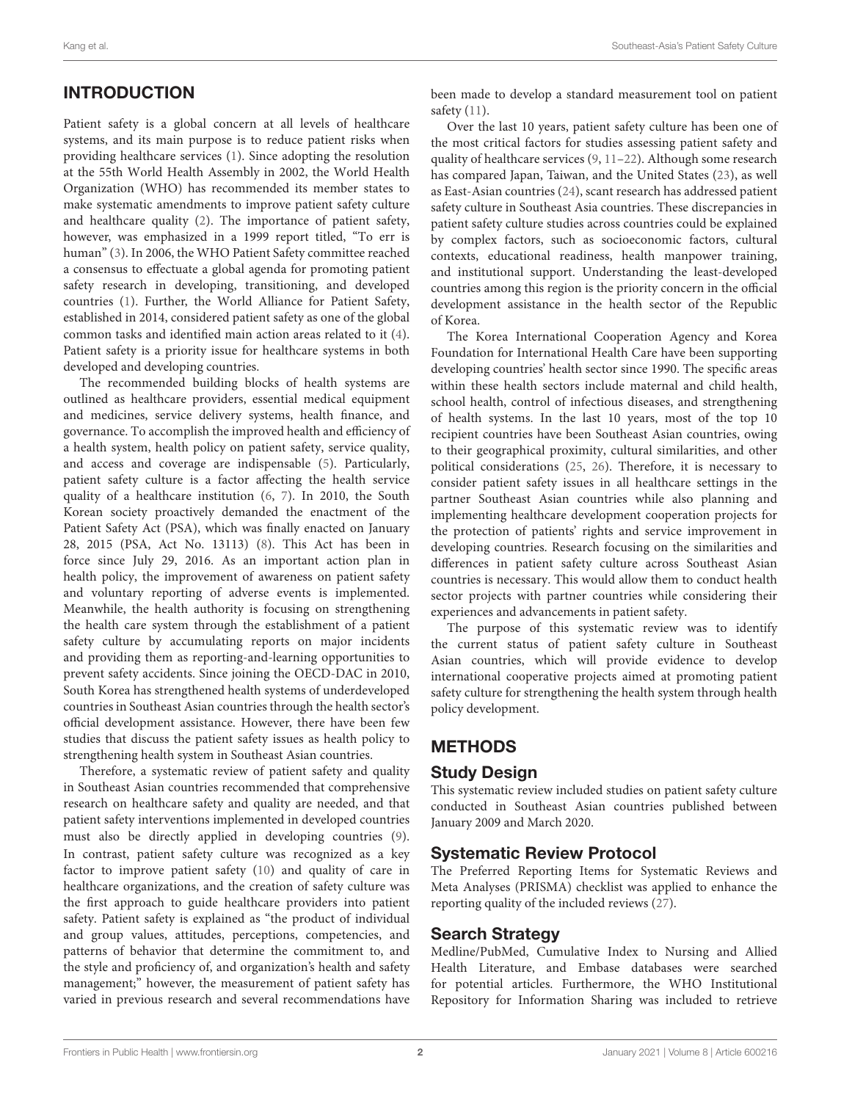# INTRODUCTION

Patient safety is a global concern at all levels of healthcare systems, and its main purpose is to reduce patient risks when providing healthcare services [\(1\)](#page-11-0). Since adopting the resolution at the 55th World Health Assembly in 2002, the World Health Organization (WHO) has recommended its member states to make systematic amendments to improve patient safety culture and healthcare quality [\(2\)](#page-11-1). The importance of patient safety, however, was emphasized in a 1999 report titled, "To err is human" [\(3\)](#page-11-2). In 2006, the WHO Patient Safety committee reached a consensus to effectuate a global agenda for promoting patient safety research in developing, transitioning, and developed countries [\(1\)](#page-11-0). Further, the World Alliance for Patient Safety, established in 2014, considered patient safety as one of the global common tasks and identified main action areas related to it [\(4\)](#page-11-3). Patient safety is a priority issue for healthcare systems in both developed and developing countries.

The recommended building blocks of health systems are outlined as healthcare providers, essential medical equipment and medicines, service delivery systems, health finance, and governance. To accomplish the improved health and efficiency of a health system, health policy on patient safety, service quality, and access and coverage are indispensable [\(5\)](#page-11-4). Particularly, patient safety culture is a factor affecting the health service quality of a healthcare institution [\(6,](#page-11-5) [7\)](#page-11-6). In 2010, the South Korean society proactively demanded the enactment of the Patient Safety Act (PSA), which was finally enacted on January 28, 2015 (PSA, Act No. 13113) [\(8\)](#page-11-7). This Act has been in force since July 29, 2016. As an important action plan in health policy, the improvement of awareness on patient safety and voluntary reporting of adverse events is implemented. Meanwhile, the health authority is focusing on strengthening the health care system through the establishment of a patient safety culture by accumulating reports on major incidents and providing them as reporting-and-learning opportunities to prevent safety accidents. Since joining the OECD-DAC in 2010, South Korea has strengthened health systems of underdeveloped countries in Southeast Asian countries through the health sector's official development assistance. However, there have been few studies that discuss the patient safety issues as health policy to strengthening health system in Southeast Asian countries.

Therefore, a systematic review of patient safety and quality in Southeast Asian countries recommended that comprehensive research on healthcare safety and quality are needed, and that patient safety interventions implemented in developed countries must also be directly applied in developing countries [\(9\)](#page-11-8). In contrast, patient safety culture was recognized as a key factor to improve patient safety [\(10\)](#page-11-9) and quality of care in healthcare organizations, and the creation of safety culture was the first approach to guide healthcare providers into patient safety. Patient safety is explained as "the product of individual and group values, attitudes, perceptions, competencies, and patterns of behavior that determine the commitment to, and the style and proficiency of, and organization's health and safety management;" however, the measurement of patient safety has varied in previous research and several recommendations have been made to develop a standard measurement tool on patient safety [\(11\)](#page-11-10).

Over the last 10 years, patient safety culture has been one of the most critical factors for studies assessing patient safety and quality of healthcare services [\(9,](#page-11-8) [11–](#page-11-10)[22\)](#page-12-0). Although some research has compared Japan, Taiwan, and the United States [\(23\)](#page-12-1), as well as East-Asian countries [\(24\)](#page-12-2), scant research has addressed patient safety culture in Southeast Asia countries. These discrepancies in patient safety culture studies across countries could be explained by complex factors, such as socioeconomic factors, cultural contexts, educational readiness, health manpower training, and institutional support. Understanding the least-developed countries among this region is the priority concern in the official development assistance in the health sector of the Republic of Korea.

The Korea International Cooperation Agency and Korea Foundation for International Health Care have been supporting developing countries' health sector since 1990. The specific areas within these health sectors include maternal and child health, school health, control of infectious diseases, and strengthening of health systems. In the last 10 years, most of the top 10 recipient countries have been Southeast Asian countries, owing to their geographical proximity, cultural similarities, and other political considerations [\(25,](#page-12-3) [26\)](#page-12-4). Therefore, it is necessary to consider patient safety issues in all healthcare settings in the partner Southeast Asian countries while also planning and implementing healthcare development cooperation projects for the protection of patients' rights and service improvement in developing countries. Research focusing on the similarities and differences in patient safety culture across Southeast Asian countries is necessary. This would allow them to conduct health sector projects with partner countries while considering their experiences and advancements in patient safety.

The purpose of this systematic review was to identify the current status of patient safety culture in Southeast Asian countries, which will provide evidence to develop international cooperative projects aimed at promoting patient safety culture for strengthening the health system through health policy development.

## **METHODS**

#### Study Design

This systematic review included studies on patient safety culture conducted in Southeast Asian countries published between January 2009 and March 2020.

## Systematic Review Protocol

The Preferred Reporting Items for Systematic Reviews and Meta Analyses (PRISMA) checklist was applied to enhance the reporting quality of the included reviews [\(27\)](#page-12-5).

#### Search Strategy

Medline/PubMed, Cumulative Index to Nursing and Allied Health Literature, and Embase databases were searched for potential articles. Furthermore, the WHO Institutional Repository for Information Sharing was included to retrieve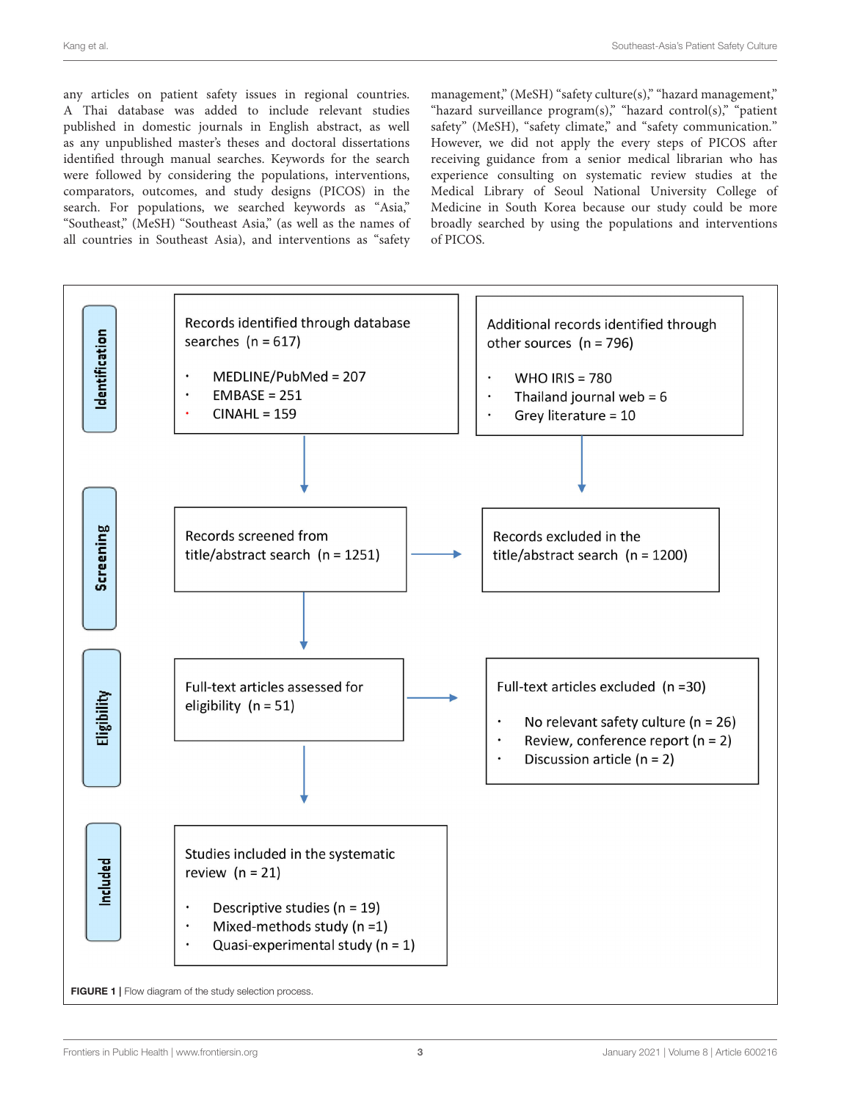any articles on patient safety issues in regional countries. A Thai database was added to include relevant studies published in domestic journals in English abstract, as well as any unpublished master's theses and doctoral dissertations identified through manual searches. Keywords for the search were followed by considering the populations, interventions, comparators, outcomes, and study designs (PICOS) in the search. For populations, we searched keywords as "Asia," "Southeast," (MeSH) "Southeast Asia," (as well as the names of all countries in Southeast Asia), and interventions as "safety

management," (MeSH) "safety culture(s)," "hazard management," "hazard surveillance program(s)," "hazard control(s)," "patient safety" (MeSH), "safety climate," and "safety communication." However, we did not apply the every steps of PICOS after receiving guidance from a senior medical librarian who has experience consulting on systematic review studies at the Medical Library of Seoul National University College of Medicine in South Korea because our study could be more broadly searched by using the populations and interventions of PICOS.

<span id="page-2-0"></span>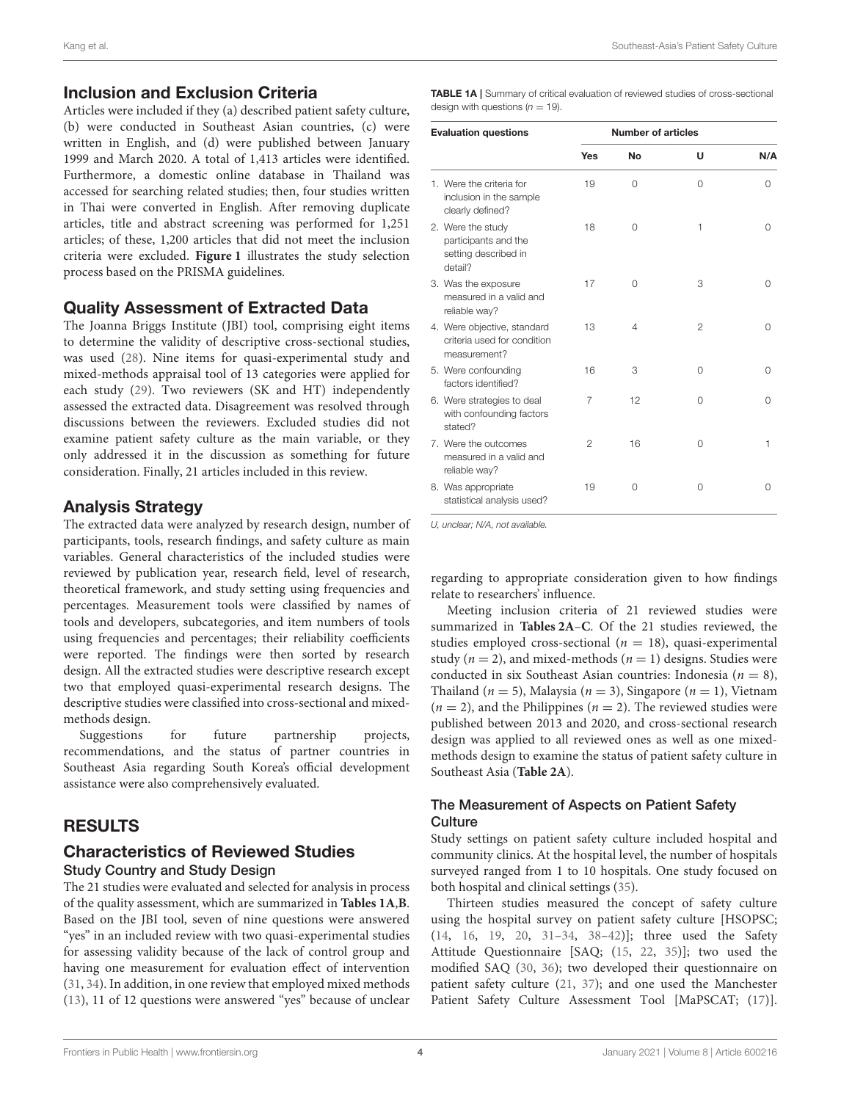#### Inclusion and Exclusion Criteria

Articles were included if they (a) described patient safety culture, (b) were conducted in Southeast Asian countries, (c) were written in English, and (d) were published between January 1999 and March 2020. A total of 1,413 articles were identified. Furthermore, a domestic online database in Thailand was accessed for searching related studies; then, four studies written in Thai were converted in English. After removing duplicate articles, title and abstract screening was performed for 1,251 articles; of these, 1,200 articles that did not meet the inclusion criteria were excluded. **[Figure 1](#page-2-0)** illustrates the study selection process based on the PRISMA guidelines.

## Quality Assessment of Extracted Data

The Joanna Briggs Institute (JBI) tool, comprising eight items to determine the validity of descriptive cross-sectional studies, was used [\(28\)](#page-12-6). Nine items for quasi-experimental study and mixed-methods appraisal tool of 13 categories were applied for each study [\(29\)](#page-12-7). Two reviewers (SK and HT) independently assessed the extracted data. Disagreement was resolved through discussions between the reviewers. Excluded studies did not examine patient safety culture as the main variable, or they only addressed it in the discussion as something for future consideration. Finally, 21 articles included in this review.

## Analysis Strategy

The extracted data were analyzed by research design, number of participants, tools, research findings, and safety culture as main variables. General characteristics of the included studies were reviewed by publication year, research field, level of research, theoretical framework, and study setting using frequencies and percentages. Measurement tools were classified by names of tools and developers, subcategories, and item numbers of tools using frequencies and percentages; their reliability coefficients were reported. The findings were then sorted by research design. All the extracted studies were descriptive research except two that employed quasi-experimental research designs. The descriptive studies were classified into cross-sectional and mixedmethods design.

Suggestions for future partnership projects, recommendations, and the status of partner countries in Southeast Asia regarding South Korea's official development assistance were also comprehensively evaluated.

## RESULTS

#### Characteristics of Reviewed Studies Study Country and Study Design

The 21 studies were evaluated and selected for analysis in process of the quality assessment, which are summarized in **[Tables 1A](#page-3-0)**,**[B](#page-4-0)**. Based on the JBI tool, seven of nine questions were answered "yes" in an included review with two quasi-experimental studies for assessing validity because of the lack of control group and having one measurement for evaluation effect of intervention [\(31,](#page-12-8) [34\)](#page-12-9). In addition, in one review that employed mixed methods [\(13\)](#page-11-11), 11 of 12 questions were answered "yes" because of unclear

<span id="page-3-0"></span>TABLE 1A | Summary of critical evaluation of reviewed studies of cross-sectional design with questions  $(n = 19)$ .

| <b>Evaluation questions</b>                                                  |     | <b>Number of articles</b> |                |     |
|------------------------------------------------------------------------------|-----|---------------------------|----------------|-----|
|                                                                              | Yes | No                        | U              | N/A |
| 1. Were the criteria for<br>inclusion in the sample<br>clearly defined?      | 19  | 0                         | $\Omega$       | 0   |
| 2. Were the study<br>participants and the<br>setting described in<br>detail? | 18  | $\Omega$                  | 1              | 0   |
| 3. Was the exposure<br>measured in a valid and<br>reliable way?              | 17  | $\Omega$                  | 3              | O   |
| 4. Were objective, standard<br>criteria used for condition<br>measurement?   | 13  | 4                         | $\overline{2}$ | 0   |
| 5. Were confounding<br>factors identified?                                   | 16  | 3                         | 0              | 0   |
| 6. Were strategies to deal<br>with confounding factors<br>stated?            | 7   | 12                        | $\Omega$       | Ω   |
| 7. Were the outcomes<br>measured in a valid and<br>reliable way?             | 2   | 16                        | $\Omega$       | 1   |
| 8. Was appropriate<br>statistical analysis used?                             | 19  | 0                         | 0              | 0   |

*U, unclear; N/A, not available.*

regarding to appropriate consideration given to how findings relate to researchers' influence.

Meeting inclusion criteria of 21 reviewed studies were summarized in **[Tables 2A](#page-5-0)**–**[C](#page-10-0)**. Of the 21 studies reviewed, the studies employed cross-sectional ( $n = 18$ ), quasi-experimental study ( $n = 2$ ), and mixed-methods ( $n = 1$ ) designs. Studies were conducted in six Southeast Asian countries: Indonesia ( $n = 8$ ), Thailand ( $n = 5$ ), Malaysia ( $n = 3$ ), Singapore ( $n = 1$ ), Vietnam  $(n = 2)$ , and the Philippines  $(n = 2)$ . The reviewed studies were published between 2013 and 2020, and cross-sectional research design was applied to all reviewed ones as well as one mixedmethods design to examine the status of patient safety culture in Southeast Asia (**[Table 2A](#page-5-0)**).

#### The Measurement of Aspects on Patient Safety **Culture**

Study settings on patient safety culture included hospital and community clinics. At the hospital level, the number of hospitals surveyed ranged from 1 to 10 hospitals. One study focused on both hospital and clinical settings [\(35\)](#page-12-10).

Thirteen studies measured the concept of safety culture using the hospital survey on patient safety culture [HSOPSC; [\(14,](#page-11-12) [16,](#page-11-13) [19,](#page-11-14) [20,](#page-12-11) [31–](#page-12-8)[34,](#page-12-9) [38–](#page-12-12)[42\)](#page-12-13)]; three used the Safety Attitude Questionnaire [SAQ; [\(15,](#page-11-15) [22,](#page-12-0) [35\)](#page-12-10)]; two used the modified SAQ [\(30,](#page-12-14) [36\)](#page-12-15); two developed their questionnaire on patient safety culture [\(21,](#page-12-16) [37\)](#page-12-17); and one used the Manchester Patient Safety Culture Assessment Tool [MaPSCAT; [\(17\)](#page-11-16)].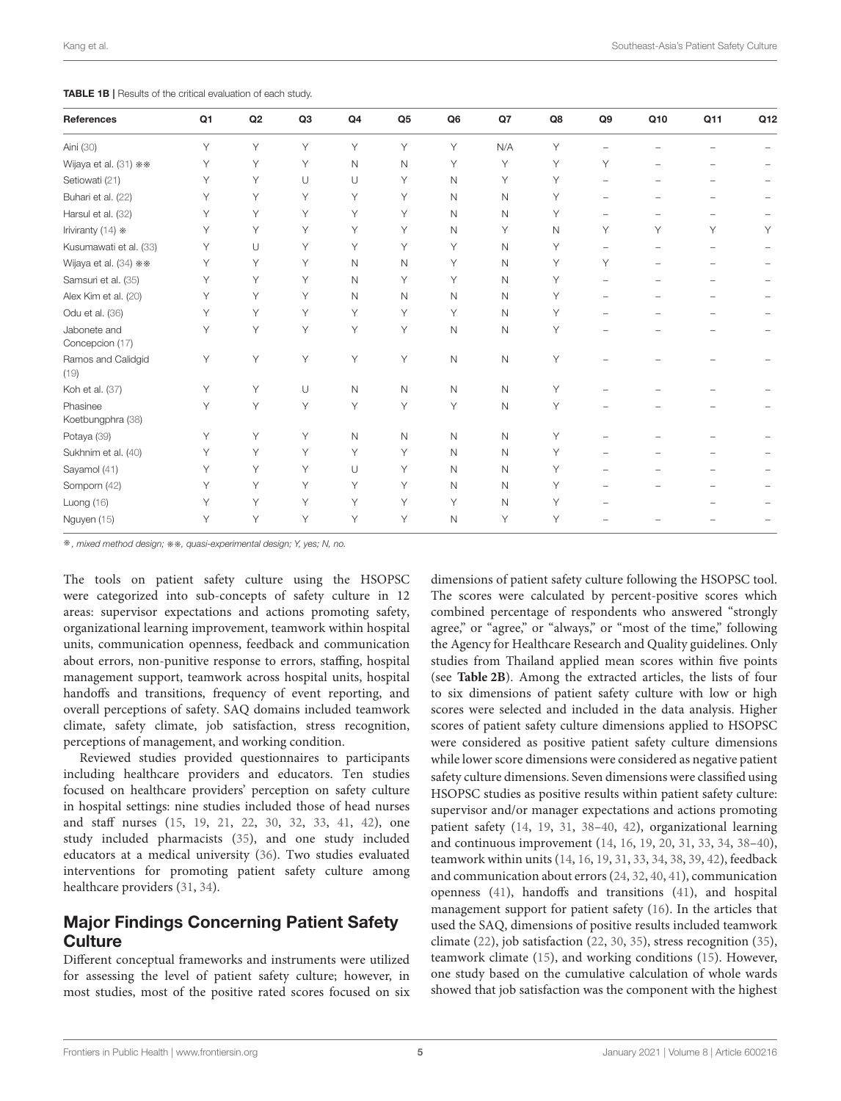Kang et al. Southeast-Asia's Patient Safety Culture

<span id="page-4-0"></span>TABLE 1B | Results of the critical evaluation of each study.

| <b>References</b>               | Q1 | Q2 | Q <sub>3</sub> | Q <sub>4</sub> | Q <sub>5</sub> | Q <sub>6</sub> | Q7           | Q8 | Q9 | Q10 | Q11 | Q <sub>12</sub> |
|---------------------------------|----|----|----------------|----------------|----------------|----------------|--------------|----|----|-----|-----|-----------------|
| Aini (30)                       | Υ  | Y  | Y              | Y              | Y              | Y              | N/A          | Y  |    |     |     |                 |
| Wijaya et al. (31) **           | Υ  | Υ  | Υ              | N              | N              | Υ              | Υ            | Υ  | Y  |     |     |                 |
| Setiowati (21)                  | Υ  | Y  | U              | U              | Υ              | N              | Υ            | Υ  |    |     |     |                 |
| Buhari et al. (22)              | Υ  | Y  | Υ              | Y              | Υ              | N              | $\mathsf N$  | Υ  |    |     |     |                 |
| Harsul et al. (32)              | Υ  | Y  | Υ              | Y              | Υ              | Ν              | $\mathsf N$  | Υ  |    |     |     |                 |
| Iriviranty (14) *               | Υ  | Υ  | Υ              | Υ              | Υ              | N              | Υ            | N  | Υ  | Y   | Υ   |                 |
| Kusumawati et al. (33)          | Υ  | U  | Υ              | Υ              | Υ              | Υ              | $\mathsf N$  | Υ  |    |     |     |                 |
| Wijaya et al. (34) **           | Υ  | Υ  | Υ              | N              | $\mathsf{N}$   | Υ              | $\mathsf{N}$ | Υ  | Υ  |     |     |                 |
| Samsuri et al. (35)             | Υ  | Υ  | Υ              | N              | Υ              | Υ              | $\mathsf N$  | Υ  |    |     |     |                 |
| Alex Kim et al. (20)            | Υ  | Υ  | Υ              | N              | $\mathsf{N}$   | N              | $\mathsf{N}$ | Υ  |    |     |     |                 |
| Odu et al. (36)                 | Υ  | Υ  | Υ              | Y              | Υ              | Υ              | $\mathsf{N}$ | Υ  |    |     |     |                 |
| Jabonete and<br>Concepcion (17) | Υ  | Y  | Y              | Y              | Y              | N              | $\mathsf N$  | Υ  |    |     |     |                 |
| Ramos and Calidgid<br>(19)      | Υ  | Y  | Y              | Y              | Y              | $\mathsf{N}$   | $\mathsf N$  | Y  |    |     |     |                 |
| Koh et al. (37)                 | Υ  | Υ  | U              | N              | $\mathsf{N}$   | N              | $\mathsf{N}$ | Υ  |    |     |     |                 |
| Phasinee<br>Koetbungphra (38)   | Υ  | Y  | Υ              | Υ              | Υ              | Υ              | $\mathsf N$  | Y  |    |     |     |                 |
| Potaya (39)                     | Υ  | Υ  | Υ              | N              | $\mathsf{N}$   | N              | $\mathsf N$  | Υ  |    |     |     |                 |
| Sukhnim et al. (40)             | Υ  | Y  | Υ              | Υ              | Υ              | N              | $\mathsf N$  | Υ  |    |     |     |                 |
| Sayamol (41)                    | Υ  | Υ  | Υ              | U              | Υ              | N              | $\mathsf{N}$ | Υ  |    |     |     |                 |
| Somporn (42)                    | Υ  | Υ  | Υ              | Υ              | Υ              | N              | $\mathsf N$  | Υ  |    |     |     |                 |
| Luong (16)                      | Υ  | Υ  | Υ              | Y              | Υ              | Υ              | $\mathsf N$  | Υ  |    |     |     |                 |
| Nguyen (15)                     | Υ  | Υ  | Υ              | Υ              | Υ              | N              | Υ            | Υ  |    |     |     |                 |

※*, mixed method design;* ※※*, quasi-experimental design; Y, yes; N, no.*

The tools on patient safety culture using the HSOPSC were categorized into sub-concepts of safety culture in 12 areas: supervisor expectations and actions promoting safety, organizational learning improvement, teamwork within hospital units, communication openness, feedback and communication about errors, non-punitive response to errors, staffing, hospital management support, teamwork across hospital units, hospital handoffs and transitions, frequency of event reporting, and overall perceptions of safety. SAQ domains included teamwork climate, safety climate, job satisfaction, stress recognition, perceptions of management, and working condition.

Reviewed studies provided questionnaires to participants including healthcare providers and educators. Ten studies focused on healthcare providers' perception on safety culture in hospital settings: nine studies included those of head nurses and staff nurses [\(15,](#page-11-15) [19,](#page-11-14) [21,](#page-12-16) [22,](#page-12-0) [30,](#page-12-14) [32,](#page-12-18) [33,](#page-12-19) [41,](#page-12-22) [42\)](#page-12-13), one study included pharmacists [\(35\)](#page-12-10), and one study included educators at a medical university [\(36\)](#page-12-15). Two studies evaluated interventions for promoting patient safety culture among healthcare providers [\(31,](#page-12-8) [34\)](#page-12-9).

# Major Findings Concerning Patient Safety **Culture**

Different conceptual frameworks and instruments were utilized for assessing the level of patient safety culture; however, in most studies, most of the positive rated scores focused on six dimensions of patient safety culture following the HSOPSC tool. The scores were calculated by percent-positive scores which combined percentage of respondents who answered "strongly agree," or "agree," or "always," or "most of the time," following the Agency for Healthcare Research and Quality guidelines. Only studies from Thailand applied mean scores within five points (see **[Table 2B](#page-9-0)**). Among the extracted articles, the lists of four to six dimensions of patient safety culture with low or high scores were selected and included in the data analysis. Higher scores of patient safety culture dimensions applied to HSOPSC were considered as positive patient safety culture dimensions while lower score dimensions were considered as negative patient safety culture dimensions. Seven dimensions were classified using HSOPSC studies as positive results within patient safety culture: supervisor and/or manager expectations and actions promoting patient safety [\(14,](#page-11-12) [19,](#page-11-14) [31,](#page-12-8) [38–](#page-12-12)[40,](#page-12-21) [42\)](#page-12-13), organizational learning and continuous improvement [\(14,](#page-11-12) [16,](#page-11-13) [19,](#page-11-14) [20,](#page-12-11) [31,](#page-12-8) [33,](#page-12-19) [34,](#page-12-9) [38–](#page-12-12)[40\)](#page-12-21), teamwork within units [\(14,](#page-11-12) [16,](#page-11-13) [19,](#page-11-14) [31,](#page-12-8) [33,](#page-12-19) [34,](#page-12-9) [38,](#page-12-12) [39,](#page-12-20) [42\)](#page-12-13), feedback and communication about errors [\(24,](#page-12-2) [32,](#page-12-18) [40,](#page-12-21) [41\)](#page-12-22), communication openness [\(41\)](#page-12-22), handoffs and transitions [\(41\)](#page-12-22), and hospital management support for patient safety [\(16\)](#page-11-13). In the articles that used the SAQ, dimensions of positive results included teamwork climate [\(22\)](#page-12-0), job satisfaction [\(22,](#page-12-0) [30,](#page-12-14) [35\)](#page-12-10), stress recognition [\(35\)](#page-12-10), teamwork climate [\(15\)](#page-11-15), and working conditions [\(15\)](#page-11-15). However, one study based on the cumulative calculation of whole wards showed that job satisfaction was the component with the highest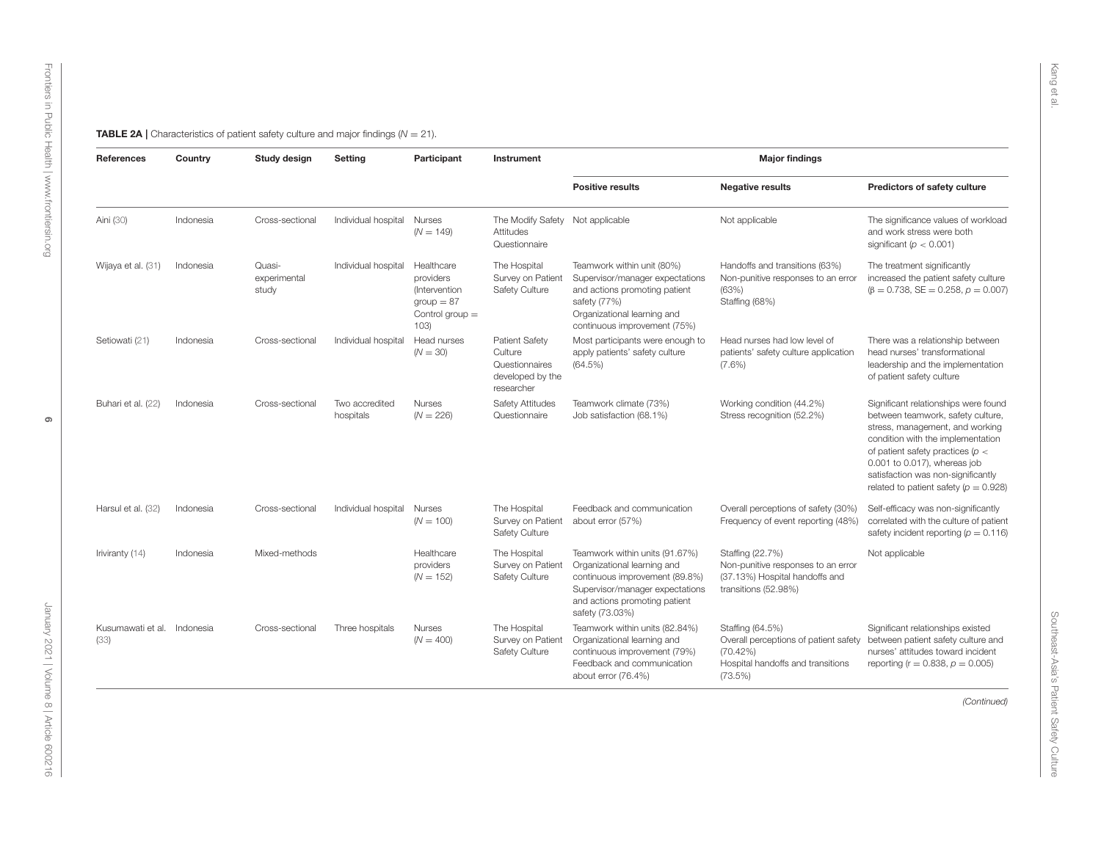<span id="page-5-0"></span>

| References                          | Country   | Study design                    | Setting                     | Participant                                                                           | Instrument                                                                           |                                                                                                                                                                                        | <b>Major findings</b>                                                                                                 |                                                                                                                                                                                                                                                                                                            |
|-------------------------------------|-----------|---------------------------------|-----------------------------|---------------------------------------------------------------------------------------|--------------------------------------------------------------------------------------|----------------------------------------------------------------------------------------------------------------------------------------------------------------------------------------|-----------------------------------------------------------------------------------------------------------------------|------------------------------------------------------------------------------------------------------------------------------------------------------------------------------------------------------------------------------------------------------------------------------------------------------------|
|                                     |           |                                 |                             |                                                                                       |                                                                                      | <b>Positive results</b>                                                                                                                                                                | <b>Negative results</b>                                                                                               | Predictors of safety culture                                                                                                                                                                                                                                                                               |
| Aini (30)                           | Indonesia | Cross-sectional                 | Individual hospital         | Nurses<br>$(N = 149)$                                                                 | The Modify Safety Not applicable<br>Attitudes<br>Questionnaire                       |                                                                                                                                                                                        | Not applicable                                                                                                        | The significance values of workload<br>and work stress were both<br>significant ( $p < 0.001$ )                                                                                                                                                                                                            |
| Wijaya et al. (31)                  | Indonesia | Quasi-<br>experimental<br>study | Individual hospital         | Healthcare<br>providers<br>(Intervention<br>$group = 87$<br>Control group $=$<br>103) | The Hospital<br>Survey on Patient<br>Safety Culture                                  | Teamwork within unit (80%)<br>Supervisor/manager expectations<br>and actions promoting patient<br>safety (77%)<br>Organizational learning and<br>continuous improvement (75%)          | Handoffs and transitions (63%)<br>Non-punitive responses to an error<br>(63%)<br>Staffing (68%)                       | The treatment significantly<br>increased the patient safety culture<br>$(\beta = 0.738, SE = 0.258, p = 0.007)$                                                                                                                                                                                            |
| Setiowati (21)                      | Indonesia | Cross-sectional                 | Individual hospital         | Head nurses<br>$(N = 30)$                                                             | <b>Patient Safety</b><br>Culture<br>Questionnaires<br>developed by the<br>researcher | Most participants were enough to<br>apply patients' safety culture<br>$(64.5\%)$                                                                                                       | Head nurses had low level of<br>patients' safety culture application<br>$(7.6\%)$                                     | There was a relationship between<br>head nurses' transformational<br>leadership and the implementation<br>of patient safety culture                                                                                                                                                                        |
| Buhari et al. (22)                  | Indonesia | Cross-sectional                 | Two accredited<br>hospitals | <b>Nurses</b><br>$(N = 226)$                                                          | <b>Safety Attitudes</b><br>Questionnaire                                             | Teamwork climate (73%)<br>Job satisfaction (68.1%)                                                                                                                                     | Working condition (44.2%)<br>Stress recognition (52.2%)                                                               | Significant relationships were found<br>between teamwork, safety culture,<br>stress, management, and working<br>condition with the implementation<br>of patient safety practices $(p <$<br>0.001 to 0.017), whereas job<br>satisfaction was non-significantly<br>related to patient safety ( $p = 0.928$ ) |
| Harsul et al. (32)                  | Indonesia | Cross-sectional                 | Individual hospital         | <b>Nurses</b><br>$(N = 100)$                                                          | The Hospital<br>Survey on Patient<br>Safety Culture                                  | Feedback and communication<br>about error (57%)                                                                                                                                        | Overall perceptions of safety (30%)<br>Frequency of event reporting (48%)                                             | Self-efficacy was non-significantly<br>correlated with the culture of patient<br>safety incident reporting ( $p = 0.116$ )                                                                                                                                                                                 |
| Iriviranty (14)                     | Indonesia | Mixed-methods                   |                             | Healthcare<br>providers<br>$(N = 152)$                                                | The Hospital<br>Survey on Patient<br>Safety Culture                                  | Teamwork within units (91.67%)<br>Organizational learning and<br>continuous improvement (89.8%)<br>Supervisor/manager expectations<br>and actions promoting patient<br>safety (73.03%) | Staffing (22.7%)<br>Non-punitive responses to an error<br>(37.13%) Hospital handoffs and<br>transitions (52.98%)      | Not applicable                                                                                                                                                                                                                                                                                             |
| Kusumawati et al. Indonesia<br>(33) |           | Cross-sectional                 | Three hospitals             | <b>Nurses</b><br>$(N = 400)$                                                          | The Hospital<br>Survey on Patient<br>Safety Culture                                  | Teamwork within units (82.84%)<br>Organizational learning and<br>continuous improvement (79%)<br>Feedback and communication<br>about error (76.4%)                                     | Staffing (64.5%)<br>Overall perceptions of patient safety<br>(70.42%)<br>Hospital handoffs and transitions<br>(73.5%) | Significant relationships existed<br>between patient safety culture and<br>nurses' attitudes toward incident<br>reporting ( $r = 0.838$ , $p = 0.005$ )                                                                                                                                                    |
|                                     |           |                                 |                             |                                                                                       |                                                                                      |                                                                                                                                                                                        |                                                                                                                       | (Continued)                                                                                                                                                                                                                                                                                                |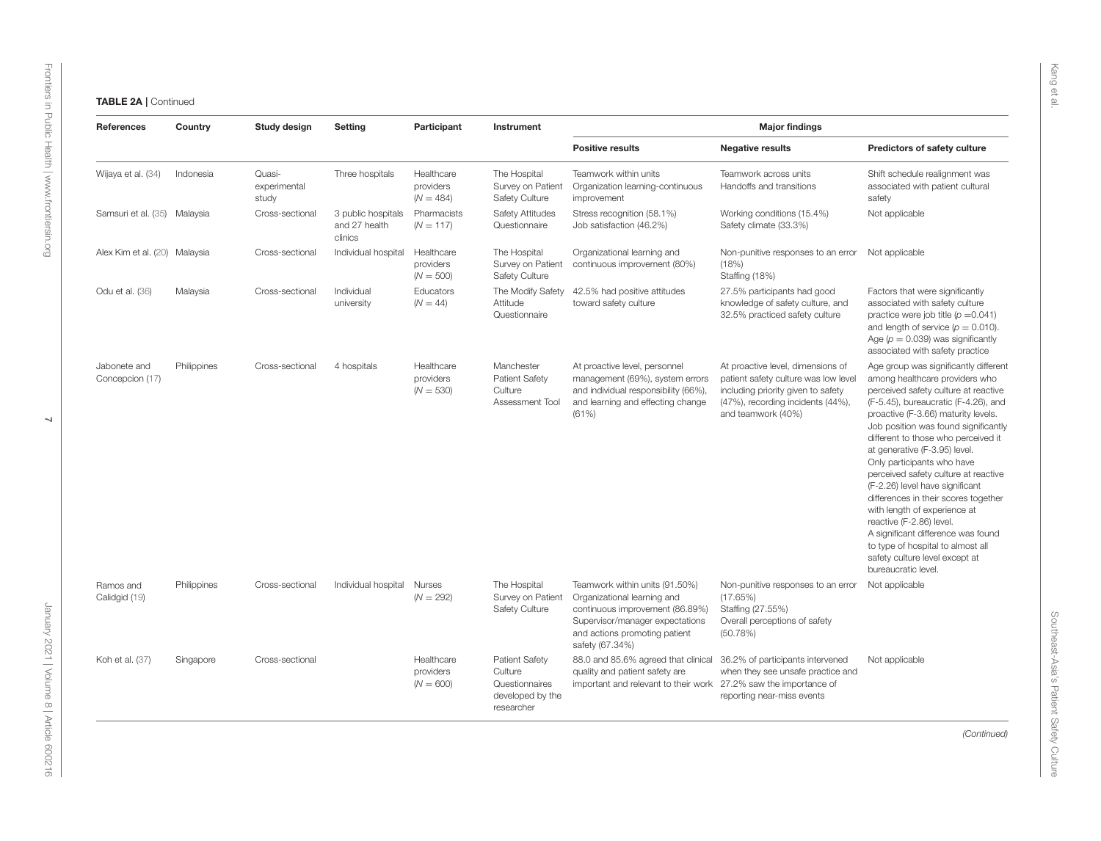$\overline{\phantom{0}}$ 

| References                      | Country     | Study design                    | Setting                                        | Participant                            | Instrument                                                                           |                                                                                                                                                                                         | <b>Major findings</b>                                                                                                                                                      |                                                                                                                                                                                                                                                                                                                                                                                                                                                                                                                                                                                                                                                                 |
|---------------------------------|-------------|---------------------------------|------------------------------------------------|----------------------------------------|--------------------------------------------------------------------------------------|-----------------------------------------------------------------------------------------------------------------------------------------------------------------------------------------|----------------------------------------------------------------------------------------------------------------------------------------------------------------------------|-----------------------------------------------------------------------------------------------------------------------------------------------------------------------------------------------------------------------------------------------------------------------------------------------------------------------------------------------------------------------------------------------------------------------------------------------------------------------------------------------------------------------------------------------------------------------------------------------------------------------------------------------------------------|
|                                 |             |                                 |                                                |                                        |                                                                                      | <b>Positive results</b>                                                                                                                                                                 | <b>Negative results</b>                                                                                                                                                    | Predictors of safety culture                                                                                                                                                                                                                                                                                                                                                                                                                                                                                                                                                                                                                                    |
| Wijaya et al. (34)              | Indonesia   | Quasi-<br>experimental<br>study | Three hospitals                                | Healthcare<br>providers<br>$(N = 484)$ | The Hospital<br>Survey on Patient<br>Safety Culture                                  | Teamwork within units<br>Organization learning-continuous<br>improvement                                                                                                                | Teamwork across units<br>Handoffs and transitions                                                                                                                          | Shift schedule realignment was<br>associated with patient cultural<br>safety                                                                                                                                                                                                                                                                                                                                                                                                                                                                                                                                                                                    |
| Samsuri et al. (35) Malaysia    |             | Cross-sectional                 | 3 public hospitals<br>and 27 health<br>clinics | Pharmacists<br>$(N = 117)$             | <b>Safety Attitudes</b><br>Questionnaire                                             | Stress recognition (58.1%)<br>Job satisfaction (46.2%)                                                                                                                                  | Working conditions (15.4%)<br>Safety climate (33.3%)                                                                                                                       | Not applicable                                                                                                                                                                                                                                                                                                                                                                                                                                                                                                                                                                                                                                                  |
| Alex Kim et al. (20) Malaysia   |             | Cross-sectional                 | Individual hospital                            | Healthcare<br>providers<br>$(N = 500)$ | The Hospital<br>Survey on Patient<br>Safety Culture                                  | Organizational learning and<br>continuous improvement (80%)                                                                                                                             | Non-punitive responses to an error Not applicable<br>(18%)<br>Staffing (18%)                                                                                               |                                                                                                                                                                                                                                                                                                                                                                                                                                                                                                                                                                                                                                                                 |
| Odu et al. (36)                 | Malaysia    | Cross-sectional                 | Individual<br>university                       | Educators<br>$(N = 44)$                | Attitude<br>Questionnaire                                                            | The Modify Safety 42.5% had positive attitudes<br>toward safety culture                                                                                                                 | 27.5% participants had good<br>knowledge of safety culture, and<br>32.5% practiced safety culture                                                                          | Factors that were significantly<br>associated with safety culture<br>practice were job title ( $p = 0.041$ )<br>and length of service $(p = 0.010)$ .<br>Age ( $p = 0.039$ ) was significantly<br>associated with safety practice                                                                                                                                                                                                                                                                                                                                                                                                                               |
| Jabonete and<br>Concepcion (17) | Philippines | Cross-sectional                 | 4 hospitals                                    | Healthcare<br>providers<br>$(N = 530)$ | Manchester<br><b>Patient Safety</b><br>Culture<br>Assessment Tool                    | At proactive level, personnel<br>management (69%), system errors<br>and individual responsibility (66%),<br>and learning and effecting change<br>(61%)                                  | At proactive level, dimensions of<br>patient safety culture was low level<br>including priority given to safety<br>(47%), recording incidents (44%),<br>and teamwork (40%) | Age group was significantly different<br>among healthcare providers who<br>perceived safety culture at reactive<br>(F-5.45), bureaucratic (F-4.26), and<br>proactive (F-3.66) maturity levels.<br>Job position was found significantly<br>different to those who perceived it<br>at generative (F-3.95) level.<br>Only participants who have<br>perceived safety culture at reactive<br>(F-2.26) level have significant<br>differences in their scores together<br>with length of experience at<br>reactive (F-2.86) level.<br>A significant difference was found<br>to type of hospital to almost all<br>safety culture level except at<br>bureaucratic level. |
| Ramos and<br>Calidgid (19)      | Philippines | Cross-sectional                 | Individual hospital                            | Nurses<br>$(N = 292)$                  | The Hospital<br>Survey on Patient<br><b>Safety Culture</b>                           | Teamwork within units (91.50%)<br>Organizational learning and<br>continuous improvement (86.89%)<br>Supervisor/manager expectations<br>and actions promoting patient<br>safety (67.34%) | Non-punitive responses to an error<br>(17.65%)<br>Staffing (27.55%)<br>Overall perceptions of safety<br>(50.78%)                                                           | Not applicable                                                                                                                                                                                                                                                                                                                                                                                                                                                                                                                                                                                                                                                  |
| Koh et al. (37)                 | Singapore   | Cross-sectional                 |                                                | Healthcare<br>providers<br>$(N = 600)$ | <b>Patient Safety</b><br>Culture<br>Questionnaires<br>developed by the<br>researcher | 88.0 and 85.6% agreed that clinical<br>quality and patient safety are<br>important and relevant to their work 27.2% saw the importance of                                               | 36.2% of participants intervened<br>when they see unsafe practice and<br>reporting near-miss events                                                                        | Not applicable                                                                                                                                                                                                                                                                                                                                                                                                                                                                                                                                                                                                                                                  |
|                                 |             |                                 |                                                |                                        |                                                                                      |                                                                                                                                                                                         |                                                                                                                                                                            | (Continued)                                                                                                                                                                                                                                                                                                                                                                                                                                                                                                                                                                                                                                                     |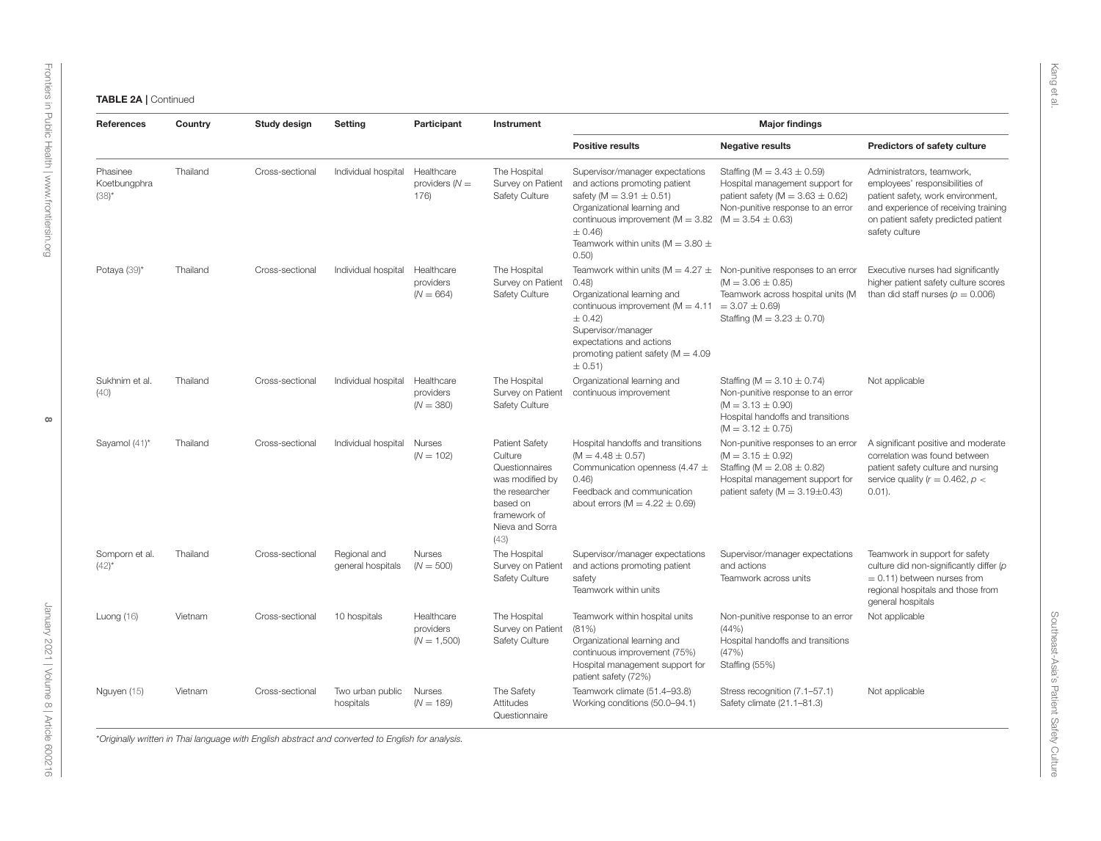| References                           | Country  | Study design    | Setting                           | Participant                              | Instrument                                                                                                                              |                                                                                                                                                                                                                                                                                                        | <b>Major findings</b>                                                                                                                                                       |                                                                                                                                                                                                   |
|--------------------------------------|----------|-----------------|-----------------------------------|------------------------------------------|-----------------------------------------------------------------------------------------------------------------------------------------|--------------------------------------------------------------------------------------------------------------------------------------------------------------------------------------------------------------------------------------------------------------------------------------------------------|-----------------------------------------------------------------------------------------------------------------------------------------------------------------------------|---------------------------------------------------------------------------------------------------------------------------------------------------------------------------------------------------|
|                                      |          |                 |                                   |                                          |                                                                                                                                         | <b>Positive results</b>                                                                                                                                                                                                                                                                                | <b>Negative results</b>                                                                                                                                                     | Predictors of safety culture                                                                                                                                                                      |
| Phasinee<br>Koetbungphra<br>$(38)^*$ | Thailand | Cross-sectional | Individual hospital               | Healthcare<br>providers $(N =$<br>176)   | The Hospital<br>Survey on Patient<br>Safety Culture                                                                                     | Supervisor/manager expectations<br>and actions promoting patient<br>safety ( $M = 3.91 \pm 0.51$ )<br>Organizational learning and<br>continuous improvement ( $M = 3.82$ ( $M = 3.54 \pm 0.63$ )<br>$± 0.46$ )<br>Teamwork within units ( $M = 3.80 \pm$<br>0.50)                                      | Staffing (M = $3.43 \pm 0.59$ )<br>Hospital management support for<br>patient safety ( $M = 3.63 \pm 0.62$ )<br>Non-punitive response to an error                           | Administrators, teamwork,<br>employees' responsibilities of<br>patient safety, work environment,<br>and experience of receiving training<br>on patient safety predicted patient<br>safety culture |
| Potaya (39)*                         | Thailand | Cross-sectional | Individual hospital               | Healthcare<br>providers<br>$(N = 664)$   | The Hospital<br>Survey on Patient<br>Safety Culture                                                                                     | Teamwork within units ( $M = 4.27 \pm N$ on-punitive responses to an error<br>(0.48)<br>Organizational learning and<br>continuous improvement ( $M = 4.11 = 3.07 \pm 0.69$ )<br>$± 0.42$ )<br>Supervisor/manager<br>expectations and actions<br>promoting patient safety ( $M = 4.09$ )<br>$\pm$ 0.51) | $(M = 3.06 \pm 0.85)$<br>Teamwork across hospital units (M<br>Staffing (M = $3.23 \pm 0.70$ )                                                                               | Executive nurses had significantly<br>higher patient safety culture scores<br>than did staff nurses ( $p = 0.006$ )                                                                               |
| Sukhnim et al.<br>(40)               | Thailand | Cross-sectional | Individual hospital               | Healthcare<br>providers<br>$(N = 380)$   | The Hospital<br>Survey on Patient<br>Safety Culture                                                                                     | Organizational learning and<br>continuous improvement                                                                                                                                                                                                                                                  | Staffing (M = $3.10 \pm 0.74$ )<br>Non-punitive response to an error<br>$(M = 3.13 \pm 0.90)$<br>Hospital handoffs and transitions<br>$(M = 3.12 \pm 0.75)$                 | Not applicable                                                                                                                                                                                    |
| Sayamol (41)*                        | Thailand | Cross-sectional | Individual hospital               | Nurses<br>$(N = 102)$                    | Patient Safety<br>Culture<br>Questionnaires<br>was modified by<br>the researcher<br>based on<br>framework of<br>Nieva and Sorra<br>(43) | Hospital handoffs and transitions<br>$(M = 4.48 \pm 0.57)$<br>Communication openness (4.47 $\pm$<br>0.46<br>Feedback and communication<br>about errors ( $M = 4.22 \pm 0.69$ )                                                                                                                         | Non-punitive responses to an error<br>$(M = 3.15 \pm 0.92)$<br>Staffing (M = $2.08 \pm 0.82$ )<br>Hospital management support for<br>patient safety ( $M = 3.19 \pm 0.43$ ) | A significant positive and moderate<br>correlation was found between<br>patient safety culture and nursing<br>service quality ( $r = 0.462$ , $p <$<br>$0.01$ ).                                  |
| Somporn et al.<br>$(42)^{*}$         | Thailand | Cross-sectional | Regional and<br>general hospitals | Nurses<br>$(N = 500)$                    | The Hospital<br>Survey on Patient<br>Safety Culture                                                                                     | Supervisor/manager expectations<br>and actions promoting patient<br>safety<br>Teamwork within units                                                                                                                                                                                                    | Supervisor/manager expectations<br>and actions<br>Teamwork across units                                                                                                     | Teamwork in support for safety<br>culture did non-significantly differ (p<br>$= 0.11$ ) between nurses from<br>regional hospitals and those from<br>general hospitals                             |
| Luong $(16)$                         | Vietnam  | Cross-sectional | 10 hospitals                      | Healthcare<br>providers<br>$(N = 1,500)$ | The Hospital<br>Survey on Patient<br>Safety Culture                                                                                     | Teamwork within hospital units<br>(81%)<br>Organizational learning and<br>continuous improvement (75%)<br>Hospital management support for<br>patient safety (72%)                                                                                                                                      | Non-punitive response to an error<br>(44% )<br>Hospital handoffs and transitions<br>(47%)<br>Staffing (55%)                                                                 | Not applicable                                                                                                                                                                                    |
| Nguyen (15)                          | Vietnam  | Cross-sectional | Two urban public<br>hospitals     | <b>Nurses</b><br>$(N = 189)$             | The Safety<br>Attitudes<br>Questionnaire                                                                                                | Teamwork climate (51.4-93.8)<br>Working conditions (50.0-94.1)                                                                                                                                                                                                                                         | Stress recognition (7.1-57.1)<br>Safety climate (21.1-81.3)                                                                                                                 | Not applicable                                                                                                                                                                                    |

 $\infty$ 

[Frontiers in Public Health](https://www.frontiersin.org/journals/public-health)| [www.frontiersin.org](https://www.frontiersin.org)

Frontiers in Public Health | www.frontiersin.org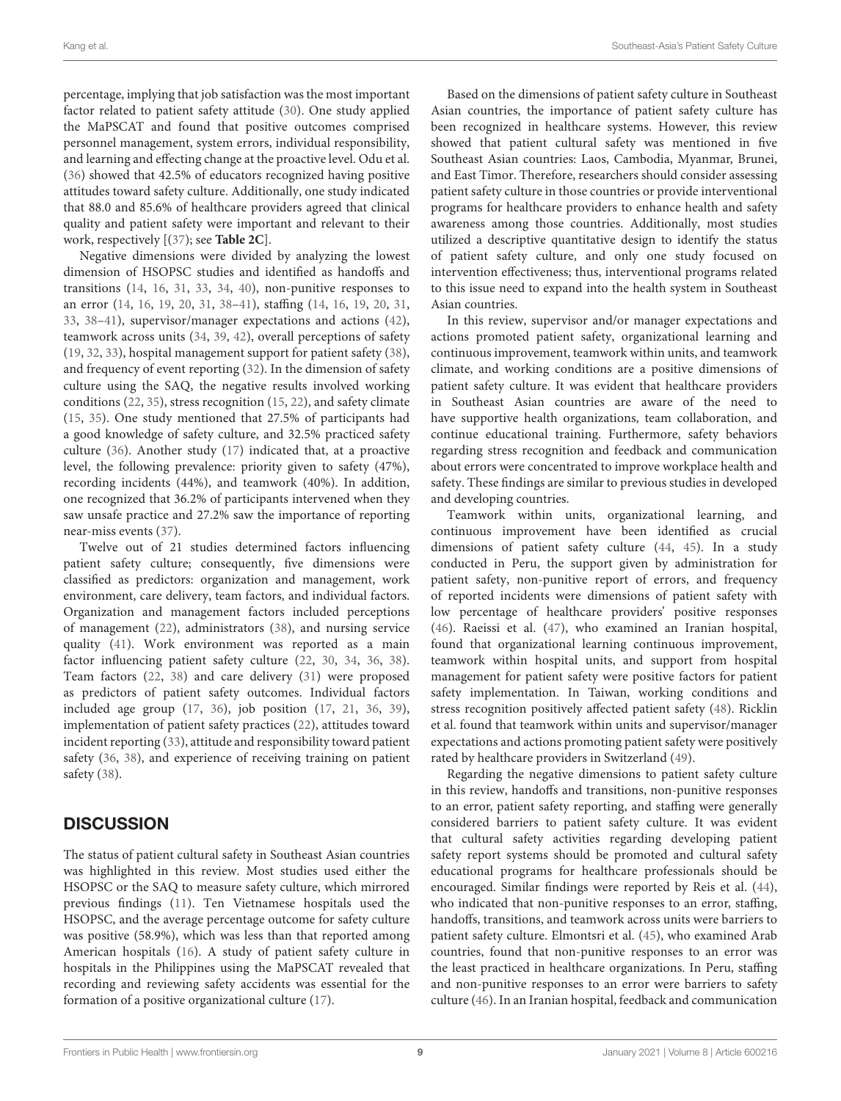percentage, implying that job satisfaction was the most important factor related to patient safety attitude [\(30\)](#page-12-14). One study applied the MaPSCAT and found that positive outcomes comprised personnel management, system errors, individual responsibility, and learning and effecting change at the proactive level. Odu et al. [\(36\)](#page-12-15) showed that 42.5% of educators recognized having positive attitudes toward safety culture. Additionally, one study indicated that 88.0 and 85.6% of healthcare providers agreed that clinical quality and patient safety were important and relevant to their work, respectively [[\(37\)](#page-12-17); see **[Table 2C](#page-10-0)**].

Negative dimensions were divided by analyzing the lowest dimension of HSOPSC studies and identified as handoffs and transitions [\(14,](#page-11-12) [16,](#page-11-13) [31,](#page-12-8) [33,](#page-12-19) [34,](#page-12-9) [40\)](#page-12-21), non-punitive responses to an error [\(14,](#page-11-12) [16,](#page-11-13) [19,](#page-11-14) [20,](#page-12-11) [31,](#page-12-8) [38](#page-12-12)[–41\)](#page-12-22), staffing [\(14,](#page-11-12) [16,](#page-11-13) [19,](#page-11-14) [20,](#page-12-11) [31,](#page-12-8) [33,](#page-12-19) [38–](#page-12-12)[41\)](#page-12-22), supervisor/manager expectations and actions [\(42\)](#page-12-13), teamwork across units [\(34,](#page-12-9) [39,](#page-12-20) [42\)](#page-12-13), overall perceptions of safety [\(19,](#page-11-14) [32,](#page-12-18) [33\)](#page-12-19), hospital management support for patient safety [\(38\)](#page-12-12), and frequency of event reporting [\(32\)](#page-12-18). In the dimension of safety culture using the SAQ, the negative results involved working conditions [\(22,](#page-12-0) [35\)](#page-12-10), stress recognition [\(15,](#page-11-15) [22\)](#page-12-0), and safety climate [\(15,](#page-11-15) [35\)](#page-12-10). One study mentioned that 27.5% of participants had a good knowledge of safety culture, and 32.5% practiced safety culture [\(36\)](#page-12-15). Another study [\(17\)](#page-11-16) indicated that, at a proactive level, the following prevalence: priority given to safety (47%), recording incidents (44%), and teamwork (40%). In addition, one recognized that 36.2% of participants intervened when they saw unsafe practice and 27.2% saw the importance of reporting near-miss events [\(37\)](#page-12-17).

Twelve out of 21 studies determined factors influencing patient safety culture; consequently, five dimensions were classified as predictors: organization and management, work environment, care delivery, team factors, and individual factors. Organization and management factors included perceptions of management [\(22\)](#page-12-0), administrators [\(38\)](#page-12-12), and nursing service quality [\(41\)](#page-12-22). Work environment was reported as a main factor influencing patient safety culture [\(22,](#page-12-0) [30,](#page-12-14) [34,](#page-12-9) [36,](#page-12-15) [38\)](#page-12-12). Team factors [\(22,](#page-12-0) [38\)](#page-12-12) and care delivery [\(31\)](#page-12-8) were proposed as predictors of patient safety outcomes. Individual factors included age group [\(17,](#page-11-16) [36\)](#page-12-15), job position [\(17,](#page-11-16) [21,](#page-12-16) [36,](#page-12-15) [39\)](#page-12-20), implementation of patient safety practices [\(22\)](#page-12-0), attitudes toward incident reporting [\(33\)](#page-12-19), attitude and responsibility toward patient safety [\(36,](#page-12-15) [38\)](#page-12-12), and experience of receiving training on patient safety [\(38\)](#page-12-12).

# **DISCUSSION**

The status of patient cultural safety in Southeast Asian countries was highlighted in this review. Most studies used either the HSOPSC or the SAQ to measure safety culture, which mirrored previous findings [\(11\)](#page-11-10). Ten Vietnamese hospitals used the HSOPSC, and the average percentage outcome for safety culture was positive (58.9%), which was less than that reported among American hospitals [\(16\)](#page-11-13). A study of patient safety culture in hospitals in the Philippines using the MaPSCAT revealed that recording and reviewing safety accidents was essential for the formation of a positive organizational culture [\(17\)](#page-11-16).

Based on the dimensions of patient safety culture in Southeast Asian countries, the importance of patient safety culture has been recognized in healthcare systems. However, this review showed that patient cultural safety was mentioned in five Southeast Asian countries: Laos, Cambodia, Myanmar, Brunei, and East Timor. Therefore, researchers should consider assessing patient safety culture in those countries or provide interventional programs for healthcare providers to enhance health and safety awareness among those countries. Additionally, most studies utilized a descriptive quantitative design to identify the status of patient safety culture, and only one study focused on intervention effectiveness; thus, interventional programs related to this issue need to expand into the health system in Southeast Asian countries.

In this review, supervisor and/or manager expectations and actions promoted patient safety, organizational learning and continuous improvement, teamwork within units, and teamwork climate, and working conditions are a positive dimensions of patient safety culture. It was evident that healthcare providers in Southeast Asian countries are aware of the need to have supportive health organizations, team collaboration, and continue educational training. Furthermore, safety behaviors regarding stress recognition and feedback and communication about errors were concentrated to improve workplace health and safety. These findings are similar to previous studies in developed and developing countries.

Teamwork within units, organizational learning, and continuous improvement have been identified as crucial dimensions of patient safety culture [\(44,](#page-12-40) [45\)](#page-12-41). In a study conducted in Peru, the support given by administration for patient safety, non-punitive report of errors, and frequency of reported incidents were dimensions of patient safety with low percentage of healthcare providers' positive responses [\(46\)](#page-12-42). Raeissi et al. [\(47\)](#page-12-43), who examined an Iranian hospital, found that organizational learning continuous improvement, teamwork within hospital units, and support from hospital management for patient safety were positive factors for patient safety implementation. In Taiwan, working conditions and stress recognition positively affected patient safety [\(48\)](#page-12-44). Ricklin et al. found that teamwork within units and supervisor/manager expectations and actions promoting patient safety were positively rated by healthcare providers in Switzerland [\(49\)](#page-12-45).

Regarding the negative dimensions to patient safety culture in this review, handoffs and transitions, non-punitive responses to an error, patient safety reporting, and staffing were generally considered barriers to patient safety culture. It was evident that cultural safety activities regarding developing patient safety report systems should be promoted and cultural safety educational programs for healthcare professionals should be encouraged. Similar findings were reported by Reis et al. [\(44\)](#page-12-40), who indicated that non-punitive responses to an error, staffing, handoffs, transitions, and teamwork across units were barriers to patient safety culture. Elmontsri et al. [\(45\)](#page-12-41), who examined Arab countries, found that non-punitive responses to an error was the least practiced in healthcare organizations. In Peru, staffing and non-punitive responses to an error were barriers to safety culture [\(46\)](#page-12-42). In an Iranian hospital, feedback and communication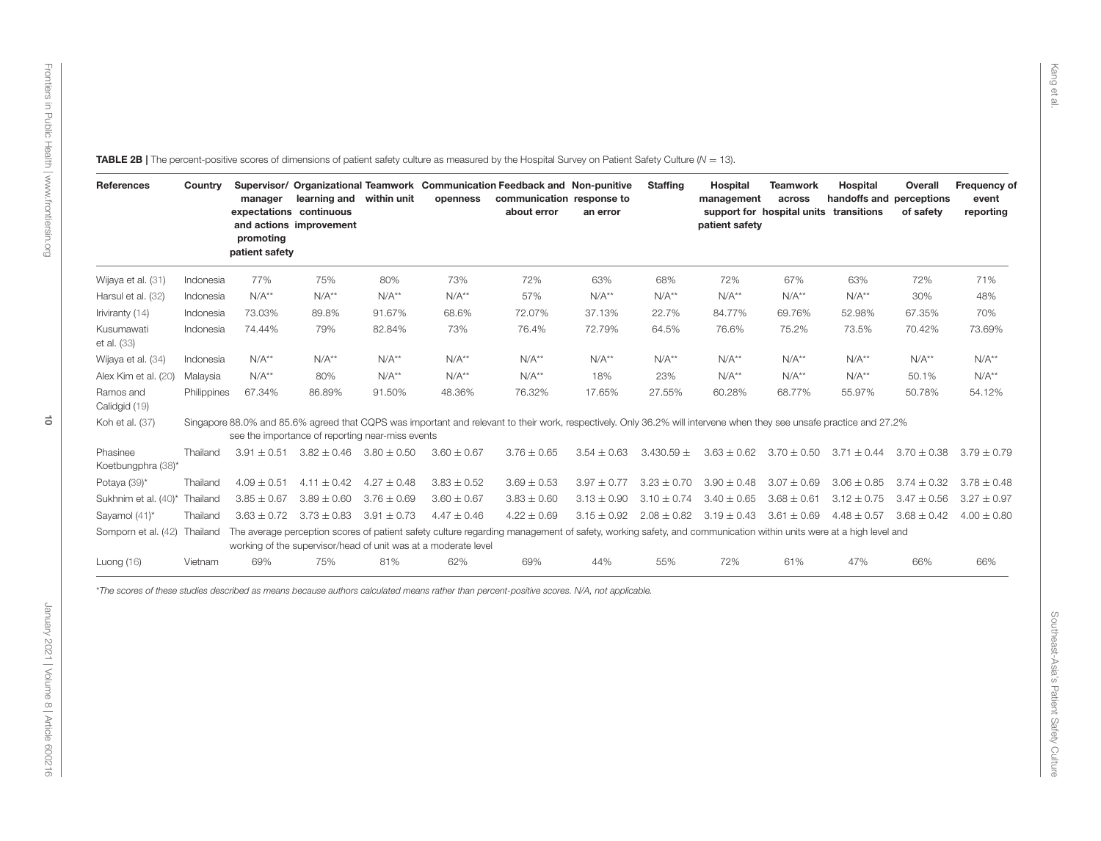<span id="page-9-0"></span>

|                                | Country     | expectations continuous<br>promoting<br>patient safety | manager learning and within unit<br>and actions improvement |                 | Supervisor/ Organizational Teamwork Communication Feedback and Non-punitive<br>openness | communication response to<br>about error                                                                                                                             | an error        | <b>Staffing</b> | Hospital<br>management<br>patient safety                        | <b>Teamwork</b><br>across<br>support for hospital units transitions | Hospital<br>handoffs and perceptions            | Overall<br>of safety | Frequency of<br>event<br>reporting |
|--------------------------------|-------------|--------------------------------------------------------|-------------------------------------------------------------|-----------------|-----------------------------------------------------------------------------------------|----------------------------------------------------------------------------------------------------------------------------------------------------------------------|-----------------|-----------------|-----------------------------------------------------------------|---------------------------------------------------------------------|-------------------------------------------------|----------------------|------------------------------------|
| Wijaya et al. (31)             | Indonesia   | 77%                                                    | 75%                                                         | 80%             | 73%                                                                                     | 72%                                                                                                                                                                  | 63%             | 68%             | 72%                                                             | 67%                                                                 | 63%                                             | 72%                  | 71%                                |
| Harsul et al. (32)             | Indonesia   | $N/A**$                                                | $N/A**$                                                     | $N/A**$         | $N/A**$                                                                                 | 57%                                                                                                                                                                  | $N/A**$         | $N/A**$         | $N/A**$                                                         | $N/A**$                                                             | $N/A**$                                         | 30%                  | 48%                                |
| Iriviranty (14)                | Indonesia   | 73.03%                                                 | 89.8%                                                       | 91.67%          | 68.6%                                                                                   | 72.07%                                                                                                                                                               | 37.13%          | 22.7%           | 84.77%                                                          | 69.76%                                                              | 52.98%                                          | 67.35%               | 70%                                |
| Kusumawati<br>et al. (33)      | Indonesia   | 74.44%                                                 | 79%                                                         | 82.84%          | 73%                                                                                     | 76.4%                                                                                                                                                                | 72.79%          | 64.5%           | 76.6%                                                           | 75.2%                                                               | 73.5%                                           | 70.42%               | 73.69%                             |
| Wijaya et al. (34)             | Indonesia   | $N/A**$                                                | $N/A**$                                                     | $N/A**$         | $N/A**$                                                                                 | $N/A**$                                                                                                                                                              | $N/A**$         | $N/A**$         | $N/A**$                                                         | $N/A**$                                                             | $N/A**$                                         | $N/A**$              | $N/A**$                            |
| Alex Kim et al. (20)           | Malaysia    | $N/A**$                                                | 80%                                                         | $N/A**$         | $N/A**$                                                                                 | $N/A**$                                                                                                                                                              | 18%             | 23%             | $N/A**$                                                         | $N/A**$                                                             | $N/A**$                                         | 50.1%                | $N/A**$                            |
| Ramos and<br>Calidgid (19)     | Philippines | 67.34%                                                 | 86.89%                                                      | 91.50%          | 48.36%                                                                                  | 76.32%                                                                                                                                                               | 17.65%          | 27.55%          | 60.28%                                                          | 68.77%                                                              | 55.97%                                          | 50.78%               | 54.12%                             |
| Koh et al. (37)                |             |                                                        | see the importance of reporting near-miss events            |                 |                                                                                         | Singapore 88.0% and 85.6% agreed that CQPS was important and relevant to their work, respectively. Only 36.2% will intervene when they see unsafe practice and 27.2% |                 |                 |                                                                 |                                                                     |                                                 |                      |                                    |
| Phasinee<br>Koetbungphra (38)* | Thailand    |                                                        | $3.91 \pm 0.51$ $3.82 \pm 0.46$ $3.80 \pm 0.50$             |                 | $3.60 \pm 0.67$                                                                         | $3.76 \pm 0.65$                                                                                                                                                      | $3.54 \pm 0.63$ | $3.430.59 \pm$  |                                                                 |                                                                     | $3.63 \pm 0.62$ $3.70 \pm 0.50$ $3.71 \pm 0.44$ | $3.70 \pm 0.38$      | $3.79 \pm 0.79$                    |
| Potaya (39)*                   | Thailand    | $4.09 \pm 0.51$                                        | $4.11 \pm 0.42$                                             | $4.27 \pm 0.48$ | $3.83 \pm 0.52$                                                                         | $3.69 \pm 0.53$                                                                                                                                                      | $3.97 \pm 0.77$ | $3.23 \pm 0.70$ | $3.90 \pm 0.48$                                                 | $3.07 \pm 0.69$                                                     | $3.06 \pm 0.85$                                 | $3.74 \pm 0.32$      | $3.78 \pm 0.48$                    |
| Sukhnim et al. (40)*           | Thailand    | $3.85 \pm 0.67$                                        | $3.89 \pm 0.60$                                             | $3.76 \pm 0.69$ | $3.60 \pm 0.67$                                                                         | $3.83 \pm 0.60$                                                                                                                                                      | $3.13 \pm 0.90$ | $3.10 \pm 0.74$ | $3.40 \pm 0.65$                                                 | $3.68 \pm 0.61$                                                     | $3.12 \pm 0.75$                                 | $3.47 \pm 0.56$      | $3.27 \pm 0.97$                    |
| Sayamol (41)*                  | Thailand    |                                                        | $3.63 \pm 0.72$ $3.73 \pm 0.83$ $3.91 \pm 0.73$             |                 | $4.47 \pm 0.46$                                                                         | $4.22 \pm 0.69$                                                                                                                                                      |                 |                 | $3.15 \pm 0.92$ $2.08 \pm 0.82$ $3.19 \pm 0.43$ $3.61 \pm 0.69$ |                                                                     | $4.48 \pm 0.57$ $3.68 \pm 0.42$ $4.00 \pm 0.80$ |                      |                                    |
| Somporn et al. (42) Thailand   |             |                                                        |                                                             |                 | working of the supervisor/head of unit was at a moderate level                          | The average perception scores of patient safety culture regarding management of safety, working safety, and communication within units were at a high level and      |                 |                 |                                                                 |                                                                     |                                                 |                      |                                    |
| Luong $(16)$                   | Vietnam     | 69%                                                    | 75%                                                         | 81%             | 62%                                                                                     | 69%                                                                                                                                                                  | 44%             | 55%             | 72%                                                             | 61%                                                                 | 47%                                             | 66%                  | 66%                                |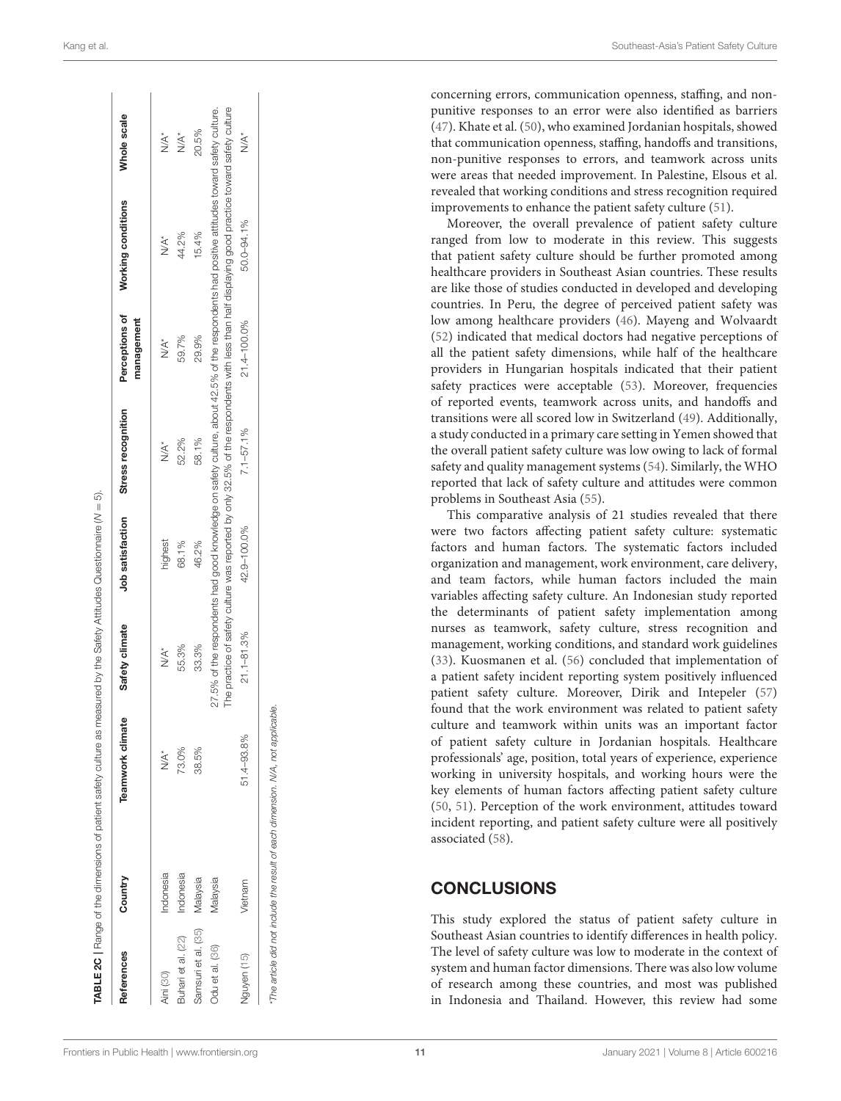| References          | Country   | <b>Teamwork climate</b> | Safety climate | Job satisfaction | Stress recognition | Perceptions of<br>management | Working conditions                                                                                                                                                                                                                                                                             | Whole scale |
|---------------------|-----------|-------------------------|----------------|------------------|--------------------|------------------------------|------------------------------------------------------------------------------------------------------------------------------------------------------------------------------------------------------------------------------------------------------------------------------------------------|-------------|
| Aini (30)           | Indonesia | YX*                     | YA*            | highest          | YA*                | YA*                          | YK*                                                                                                                                                                                                                                                                                            | YXX         |
| Buhari et al. (22)  | Indonesia | 73.0%                   | 55.3%          | 68.1%            | 52.2%              | 59.7%                        | 44.2%                                                                                                                                                                                                                                                                                          | YX.         |
| Samsuri et al. (35) | Malaysia  | 38.5%                   | 33.3%          | 46.2%            | 58.1%              | 29.9%                        | 15.4%                                                                                                                                                                                                                                                                                          | 20.5%       |
| Odu et al. (36)     | Malaysia  |                         |                |                  |                    |                              | The practice of safety culture was reported by only 32.5% of the respondents with less than half displaying good practice toward safety culture<br>27.5% of the respondents had good knowledge on safety culture, about 42.5% of the respondents had positive attitudes toward safety culture. |             |
| Nguyen (15)         | Vietnam   | 51.4-93.8%              | $21.1 - 81.3%$ | 42.9-100.0%      | $7.1 - 57.1\%$     | 21.4-100.0%                  | 50.0-94.1%                                                                                                                                                                                                                                                                                     | YA*         |

concerning errors, communication openness, staffing, and non punitive responses to an error were also identified as barriers [\(47\)](#page-12-43). Khate et al. [\(50\)](#page-12-46), who examined Jordanian hospitals, showed

that communication openness, staffing, handoffs and transitions, non-punitive responses to errors, and teamwork across units were areas that needed improvement. In Palestine, Elsous et al. revealed that working conditions and stress recognition required improvements to enhance the patient safety culture [\(51\)](#page-12-47).

Moreover, the overall prevalence of patient safety culture ranged from low to moderate in this review. This suggests that patient safety culture should be further promoted among healthcare providers in Southeast Asian countries. These results are like those of studies conducted in developed and developin g countries. In Peru, the degree of perceived patient safety was low among healthcare providers [\(46\)](#page-12-42). Mayeng and Wolvaardt [\(52\)](#page-12-48) indicated that medical doctors had negative perceptions of all the patient safety dimensions, while half of the healthcare providers in Hungarian hospitals indicated that their patient safety practices were acceptable [\(53\)](#page-12-49). Moreover, frequencies of reported events, teamwork across units, and handoffs and transitions were all scored low in Switzerland [\(49\)](#page-12-45). Additionally, a study conducted in a primary care setting in Yemen showed tha t the overall patient safety culture was low owing to lack of formal safety and quality management systems [\(54\)](#page-12-50). Similarly, the WHO reported that lack of safety culture and attitudes were commo n problems in Southeast Asia [\(55\)](#page-12-51).

This comparative analysis of 21 studies revealed that there were two factors affecting patient safety culture: systematic factors and human factors. The systematic factors included organization and management, work environment, care delivery, and team factors, while human factors included the main variables affecting safety culture. An Indonesian study reported the determinants of patient safety implementation among nurses as teamwork, safety culture, stress recognition and management, working conditions, and standard work guidelines [\(33\)](#page-12-19). Kuosmanen et al. [\(56\)](#page-12-52) concluded that implementation of a patient safety incident reporting system positively influenced patient safety culture. Moreover, Dirik and Intepeler [\(57](#page-12-53) ) found that the work environment was related to patient safety culture and teamwork within units was an important factor of patient safety culture in Jordanian hospitals. Healthcare professionals' age, position, total years of experience, experience working in university hospitals, and working hours were the key elements of human factors affecting patient safety culture [\(50,](#page-12-46) [51\)](#page-12-47). Perception of the work environment, attitudes toward incident reporting, and patient safety culture were all positively associated [\(58\)](#page-12-54).

## <span id="page-10-0"></span>**CONCLUSIONS**

This study explored the status of patient safety culture in Southeast Asian countries to identify differences in health policy. The level of safety culture was low to moderate in the context of system and human factor dimensions. There was also low volume of research among these countries, and most was published in Indonesia and Thailand. However, this review had some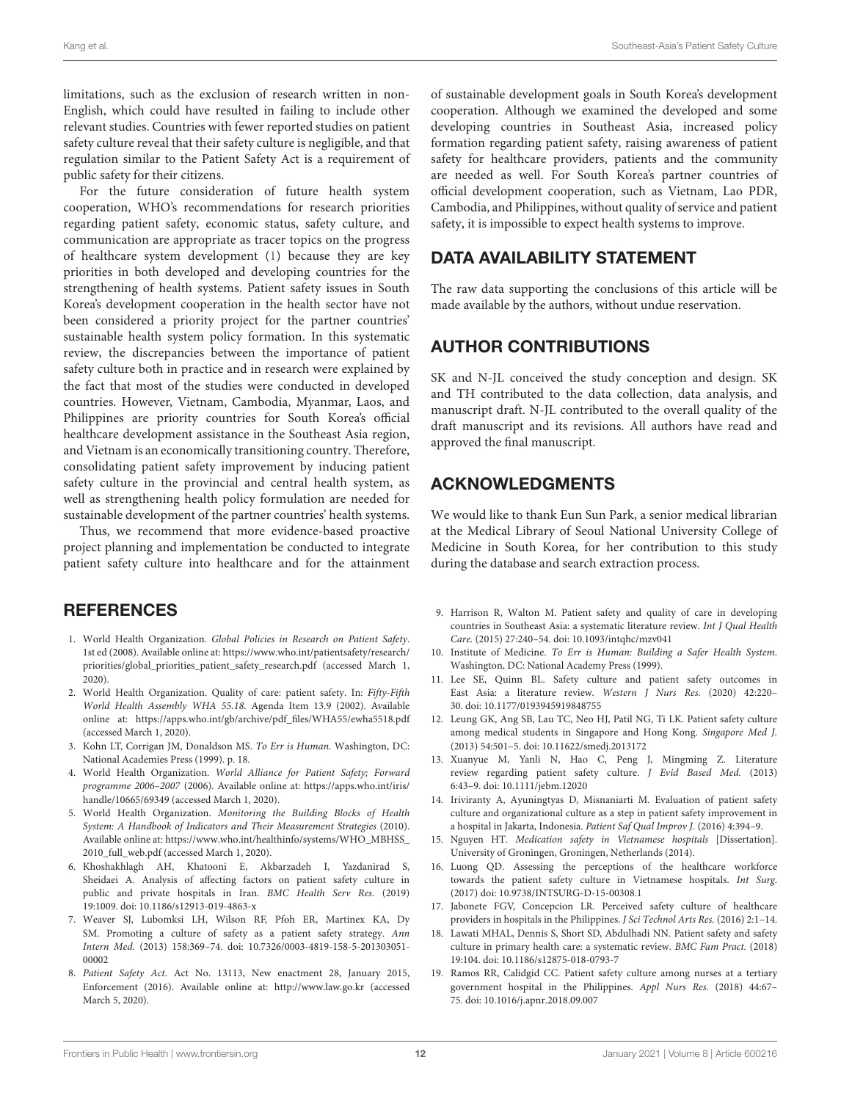limitations, such as the exclusion of research written in non-English, which could have resulted in failing to include other relevant studies. Countries with fewer reported studies on patient safety culture reveal that their safety culture is negligible, and that regulation similar to the Patient Safety Act is a requirement of public safety for their citizens.

For the future consideration of future health system cooperation, WHO's recommendations for research priorities regarding patient safety, economic status, safety culture, and communication are appropriate as tracer topics on the progress of healthcare system development [\(1\)](#page-11-0) because they are key priorities in both developed and developing countries for the strengthening of health systems. Patient safety issues in South Korea's development cooperation in the health sector have not been considered a priority project for the partner countries' sustainable health system policy formation. In this systematic review, the discrepancies between the importance of patient safety culture both in practice and in research were explained by the fact that most of the studies were conducted in developed countries. However, Vietnam, Cambodia, Myanmar, Laos, and Philippines are priority countries for South Korea's official healthcare development assistance in the Southeast Asia region, and Vietnam is an economically transitioning country. Therefore, consolidating patient safety improvement by inducing patient safety culture in the provincial and central health system, as well as strengthening health policy formulation are needed for sustainable development of the partner countries' health systems.

<span id="page-11-19"></span><span id="page-11-18"></span>Thus, we recommend that more evidence-based proactive project planning and implementation be conducted to integrate patient safety culture into healthcare and for the attainment

#### **REFERENCES**

- <span id="page-11-0"></span>1. World Health Organization. Global Policies in Research on Patient Safety. 1st ed (2008). Available online at: [https://www.who.int/patientsafety/research/](https://www.who.int/patientsafety/research/priorities/global_priorities_patient_safety_research.pdf) [priorities/global\\_priorities\\_patient\\_safety\\_research.pdf](https://www.who.int/patientsafety/research/priorities/global_priorities_patient_safety_research.pdf) (accessed March 1, 2020).
- <span id="page-11-1"></span>2. World Health Organization. Quality of care: patient safety. In: Fifty-Fifth World Health Assembly WHA 55.18. Agenda Item 13.9 (2002). Available online at: [https://apps.who.int/gb/archive/pdf\\_files/WHA55/ewha5518.pdf](https://apps.who.int/gb/archive/pdf_files/WHA55/ewha5518.pdf) (accessed March 1, 2020).
- <span id="page-11-2"></span>3. Kohn LT, Corrigan JM, Donaldson MS. To Err is Human. Washington, DC: National Academies Press (1999). p. 18.
- <span id="page-11-3"></span>4. World Health Organization. World Alliance for Patient Safety; Forward programme 2006–2007 (2006). Available online at: [https://apps.who.int/iris/](https://apps.who.int/iris/handle/10665/69349) [handle/10665/69349](https://apps.who.int/iris/handle/10665/69349) (accessed March 1, 2020).
- <span id="page-11-4"></span>5. World Health Organization. Monitoring the Building Blocks of Health System: A Handbook of Indicators and Their Measurement Strategies (2010). Available online at: [https://www.who.int/healthinfo/systems/WHO\\_MBHSS\\_](https://www.who.int/healthinfo/systems/WHO_MBHSS_2010_full_web.pdf) [2010\\_full\\_web.pdf](https://www.who.int/healthinfo/systems/WHO_MBHSS_2010_full_web.pdf) (accessed March 1, 2020).
- <span id="page-11-5"></span>6. Khoshakhlagh AH, Khatooni E, Akbarzadeh I, Yazdanirad S, Sheidaei A. Analysis of affecting factors on patient safety culture in public and private hospitals in Iran. BMC Health Serv Res. (2019) 19:1009. doi: [10.1186/s12913-019-4863-x](https://doi.org/10.1186/s12913-019-4863-x)
- <span id="page-11-6"></span>7. Weaver SJ, Lubomksi LH, Wilson RF, Pfoh ER, Martinex KA, Dy SM. Promoting a culture of safety as a patient safety strategy. Ann Intern Med. [\(2013\) 158:369–74. doi: 10.7326/0003-4819-158-5-201303051-](https://doi.org/10.7326/0003-4819-158-5-201303051-00002) 00002
- <span id="page-11-7"></span>8. Patient Safety Act. Act No. 13113, New enactment 28, January 2015, Enforcement (2016). Available online at:<http://www.law.go.kr> (accessed March 5, 2020).

of sustainable development goals in South Korea's development cooperation. Although we examined the developed and some developing countries in Southeast Asia, increased policy formation regarding patient safety, raising awareness of patient safety for healthcare providers, patients and the community are needed as well. For South Korea's partner countries of official development cooperation, such as Vietnam, Lao PDR, Cambodia, and Philippines, without quality of service and patient safety, it is impossible to expect health systems to improve.

# DATA AVAILABILITY STATEMENT

The raw data supporting the conclusions of this article will be made available by the authors, without undue reservation.

## AUTHOR CONTRIBUTIONS

SK and N-JL conceived the study conception and design. SK and TH contributed to the data collection, data analysis, and manuscript draft. N-JL contributed to the overall quality of the draft manuscript and its revisions. All authors have read and approved the final manuscript.

## <span id="page-11-21"></span><span id="page-11-20"></span><span id="page-11-17"></span>ACKNOWLEDGMENTS

We would like to thank Eun Sun Park, a senior medical librarian at the Medical Library of Seoul National University College of Medicine in South Korea, for her contribution to this study during the database and search extraction process.

- <span id="page-11-8"></span>9. Harrison R, Walton M. Patient safety and quality of care in developing countries in Southeast Asia: a systematic literature review. Int J Qual Health Care. (2015) 27:240–54. doi: [10.1093/intqhc/mzv041](https://doi.org/10.1093/intqhc/mzv041)
- <span id="page-11-9"></span>10. Institute of Medicine. To Err is Human: Building a Safer Health System. Washington, DC: National Academy Press (1999).
- <span id="page-11-10"></span>11. Lee SE, Quinn BL. Safety culture and patient safety outcomes in East Asia: a literature review. Western J Nurs Res. (2020) 42:220– 30. doi: [10.1177/0193945919848755](https://doi.org/10.1177/0193945919848755)
- 12. Leung GK, Ang SB, Lau TC, Neo HJ, Patil NG, Ti LK. Patient safety culture among medical students in Singapore and Hong Kong. Singapore Med J. (2013) 54:501–5. doi: [10.11622/smedj.2013172](https://doi.org/10.11622/smedj.2013172)
- <span id="page-11-11"></span>13. Xuanyue M, Yanli N, Hao C, Peng J, Mingming Z. Literature review regarding patient safety culture. J Evid Based Med. (2013) 6:43–9. doi: [10.1111/jebm.12020](https://doi.org/10.1111/jebm.12020)
- <span id="page-11-12"></span>14. Iriviranty A, Ayuningtyas D, Misnaniarti M. Evaluation of patient safety culture and organizational culture as a step in patient safety improvement in a hospital in Jakarta, Indonesia. Patient Saf Qual Improv J. (2016) 4:394–9.
- <span id="page-11-15"></span>15. Nguyen HT. Medication safety in Vietnamese hospitals [Dissertation]. University of Groningen, Groningen, Netherlands (2014).
- <span id="page-11-13"></span>16. Luong QD. Assessing the perceptions of the healthcare workforce towards the patient safety culture in Vietnamese hospitals. Int Surg. (2017) doi: [10.9738/INTSURG-D-15-00308.1](https://doi.org/10.9738/INTSURG-D-15-00308.1)
- <span id="page-11-16"></span>17. Jabonete FGV, Concepcion LR. Perceived safety culture of healthcare providers in hospitals in the Philippines. J Sci Technol Arts Res. (2016) 2:1–14.
- 18. Lawati MHAL, Dennis S, Short SD, Abdulhadi NN. Patient safety and safety culture in primary health care: a systematic review. BMC Fam Pract. (2018) 19:104. doi: [10.1186/s12875-018-0793-7](https://doi.org/10.1186/s12875-018-0793-7)
- <span id="page-11-14"></span>19. Ramos RR, Calidgid CC. Patient safety culture among nurses at a tertiary government hospital in the Philippines. Appl Nurs Res. (2018) 44:67– 75. doi: [10.1016/j.apnr.2018.09.007](https://doi.org/10.1016/j.apnr.2018.09.007)